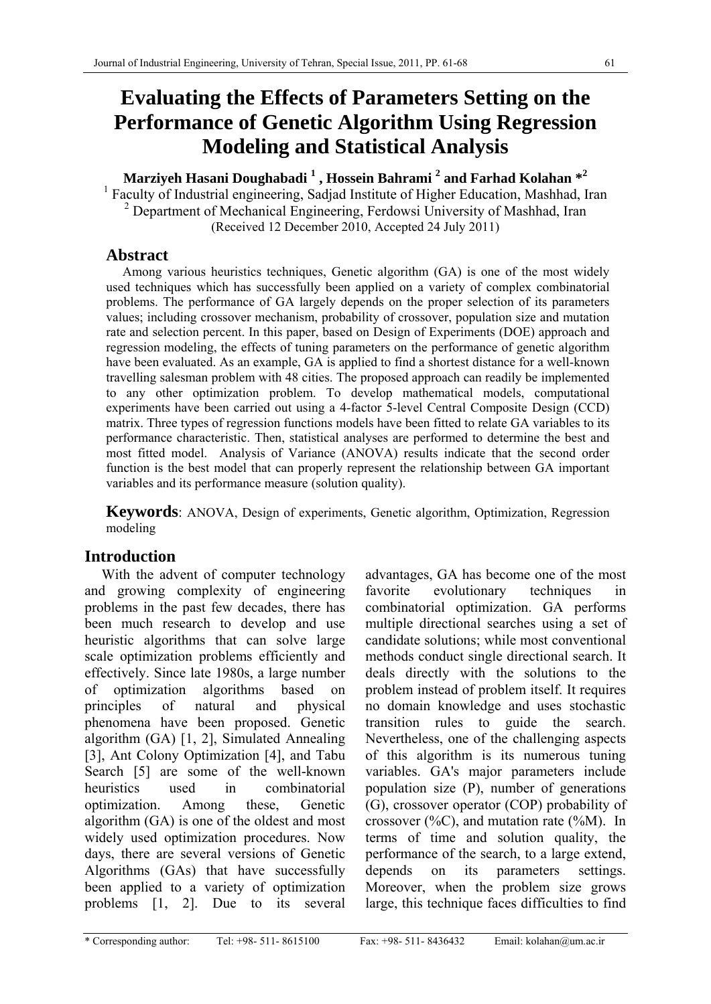# **Evaluating the Effects of Parameters Setting on the Performance of Genetic Algorithm Using Regression Modeling and Statistical Analysis**

# **Marziyeh Hasani Doughabadi 1 , Hossein Bahrami 2 and Farhad Kolahan \*<sup>2</sup>**

<sup>1</sup> Faculty of Industrial engineering, Sadjad Institute of Higher Education, Mashhad, Iran <sup>2</sup> Department of Mechanical Engineering, Ferdowsi University of Mashhad, Iran (Received 12 December 2010, Accepted 24 July 2011)

## **Abstract**

 Among various heuristics techniques, Genetic algorithm (GA) is one of the most widely used techniques which has successfully been applied on a variety of complex combinatorial problems. The performance of GA largely depends on the proper selection of its parameters values; including crossover mechanism, probability of crossover, population size and mutation rate and selection percent. In this paper, based on Design of Experiments (DOE) approach and regression modeling, the effects of tuning parameters on the performance of genetic algorithm have been evaluated. As an example, GA is applied to find a shortest distance for a well-known travelling salesman problem with 48 cities. The proposed approach can readily be implemented to any other optimization problem. To develop mathematical models, computational experiments have been carried out using a 4-factor 5-level Central Composite Design (CCD) matrix. Three types of regression functions models have been fitted to relate GA variables to its performance characteristic. Then, statistical analyses are performed to determine the best and most fitted model. Analysis of Variance (ANOVA) results indicate that the second order function is the best model that can properly represent the relationship between GA important variables and its performance measure (solution quality).

**Keywords**: ANOVA, Design of experiments, Genetic algorithm, Optimization, Regression modeling

# **Introduction**

With the advent of computer technology and growing complexity of engineering problems in the past few decades, there has been much research to develop and use heuristic algorithms that can solve large scale optimization problems efficiently and effectively. Since late 1980s, a large number of optimization algorithms based on principles of natural and physical phenomena have been proposed. Genetic algorithm (GA) [1, 2], Simulated Annealing [3], Ant Colony Optimization [4], and Tabu Search [5] are some of the well-known heuristics used in combinatorial optimization. Among these, Genetic algorithm (GA) is one of the oldest and most widely used optimization procedures. Now days, there are several versions of Genetic Algorithms (GAs) that have successfully been applied to a variety of optimization problems [1, 2]. Due to its several

advantages, GA has become one of the most favorite evolutionary techniques in combinatorial optimization. GA performs multiple directional searches using a set of candidate solutions; while most conventional methods conduct single directional search. It deals directly with the solutions to the problem instead of problem itself. It requires no domain knowledge and uses stochastic transition rules to guide the search. Nevertheless, one of the challenging aspects of this algorithm is its numerous tuning variables. GA's major parameters include population size (P), number of generations (G), crossover operator (COP) probability of crossover  $(\%C)$ , and mutation rate  $(\%M)$ . In terms of time and solution quality, the performance of the search, to a large extend, depends on its parameters settings. Moreover, when the problem size grows large, this technique faces difficulties to find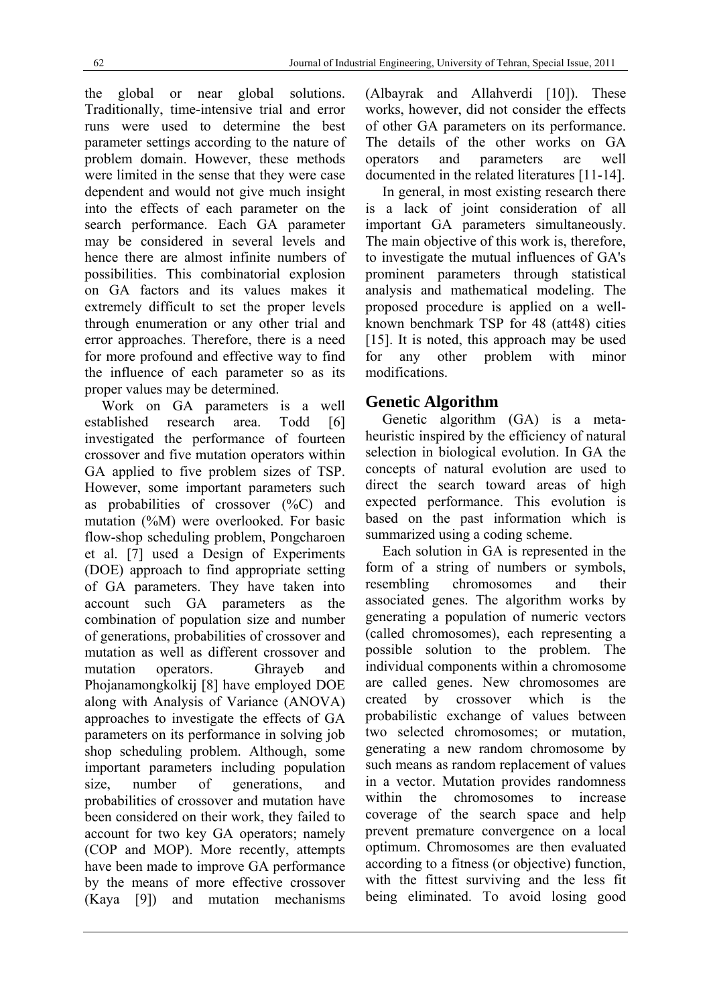the global or near global solutions. Traditionally, time-intensive trial and error runs were used to determine the best parameter settings according to the nature of problem domain. However, these methods were limited in the sense that they were case dependent and would not give much insight into the effects of each parameter on the search performance. Each GA parameter may be considered in several levels and hence there are almost infinite numbers of possibilities. This combinatorial explosion on GA factors and its values makes it extremely difficult to set the proper levels through enumeration or any other trial and error approaches. Therefore, there is a need for more profound and effective way to find the influence of each parameter so as its proper values may be determined.

Work on GA parameters is a well established research area. Todd [6] investigated the performance of fourteen crossover and five mutation operators within GA applied to five problem sizes of TSP. However, some important parameters such as probabilities of crossover  $(^{\circ}\!\%C)$  and mutation (%M) were overlooked. For basic flow-shop scheduling problem, Pongcharoen et al. [7] used a Design of Experiments (DOE) approach to find appropriate setting of GA parameters. They have taken into account such GA parameters as the combination of population size and number of generations, probabilities of crossover and mutation as well as different crossover and mutation operators. Ghrayeb and Phojanamongkolkij [8] have employed DOE along with Analysis of Variance (ANOVA) approaches to investigate the effects of GA parameters on its performance in solving job shop scheduling problem. Although, some important parameters including population size, number of generations, and probabilities of crossover and mutation have been considered on their work, they failed to account for two key GA operators; namely (COP and MOP). More recently, attempts have been made to improve GA performance by the means of more effective crossover (Kaya [9]) and mutation mechanisms (Albayrak and Allahverdi [10]). These works, however, did not consider the effects of other GA parameters on its performance. The details of the other works on GA operators and parameters are well documented in the related literatures [11-14].

In general, in most existing research there is a lack of joint consideration of all important GA parameters simultaneously. The main objective of this work is, therefore, to investigate the mutual influences of GA's prominent parameters through statistical analysis and mathematical modeling. The proposed procedure is applied on a wellknown benchmark TSP for 48 (att48) cities [15]. It is noted, this approach may be used for any other problem with minor modifications.

### **Genetic Algorithm**

Genetic algorithm (GA) is a metaheuristic inspired by the efficiency of natural selection in biological evolution. In GA the concepts of natural evolution are used to direct the search toward areas of high expected performance. This evolution is based on the past information which is summarized using a coding scheme.

Each solution in GA is represented in the form of a string of numbers or symbols, resembling chromosomes and their associated genes. The algorithm works by generating a population of numeric vectors (called chromosomes), each representing a possible solution to the problem. The individual components within a chromosome are called genes. New chromosomes are created by crossover which is the probabilistic exchange of values between two selected chromosomes; or mutation, generating a new random chromosome by such means as random replacement of values in a vector. Mutation provides randomness within the chromosomes to increase coverage of the search space and help prevent premature convergence on a local optimum. Chromosomes are then evaluated according to a fitness (or objective) function, with the fittest surviving and the less fit being eliminated. To avoid losing good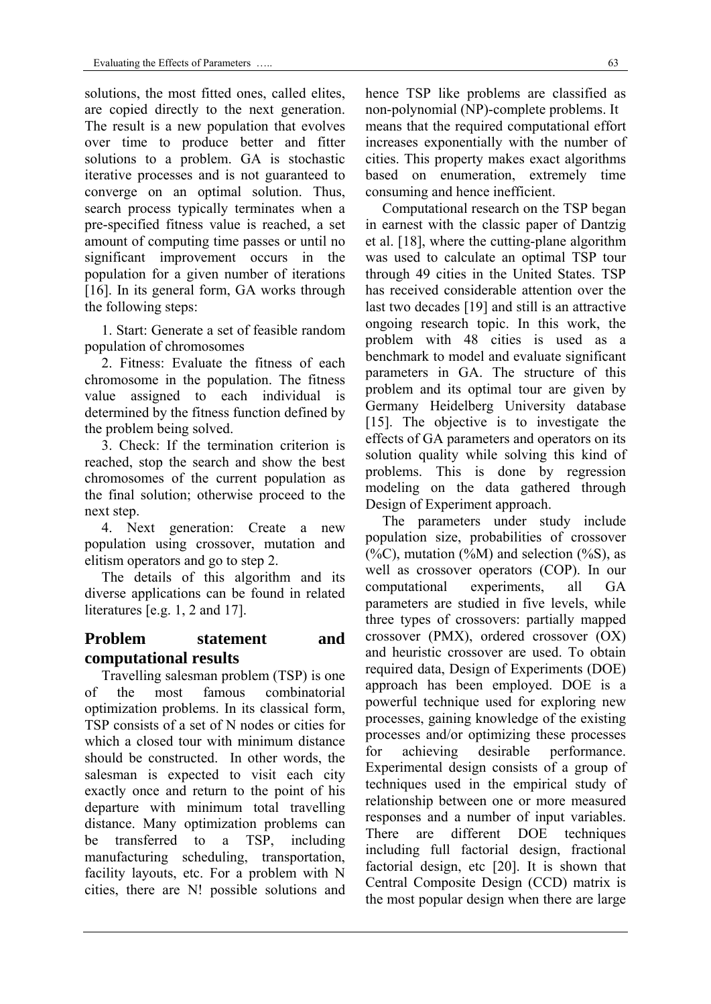solutions, the most fitted ones, called elites, are copied directly to the next generation. The result is a new population that evolves over time to produce better and fitter solutions to a problem. GA is stochastic iterative processes and is not guaranteed to converge on an optimal solution. Thus, search process typically terminates when a pre-specified fitness value is reached, a set amount of computing time passes or until no significant improvement occurs in the population for a given number of iterations [16]. In its general form, GA works through the following steps:

1. Start: Generate a set of feasible random population of chromosomes

2. Fitness: Evaluate the fitness of each chromosome in the population. The fitness value assigned to each individual is determined by the fitness function defined by the problem being solved.

3. Check: If the termination criterion is reached, stop the search and show the best chromosomes of the current population as the final solution; otherwise proceed to the next step.

4. Next generation: Create a new population using crossover, mutation and elitism operators and go to step 2.

The details of this algorithm and its diverse applications can be found in related literatures [e.g. 1, 2 and 17].

### **Problem statement and computational results**

Travelling salesman problem (TSP) is one of the most famous combinatorial optimization problems. In its classical form, TSP consists of a set of N nodes or cities for which a closed tour with minimum distance should be constructed. In other words, the salesman is expected to visit each city exactly once and return to the point of his departure with minimum total travelling distance. Many optimization problems can be transferred to a TSP, including manufacturing scheduling, transportation, facility layouts, etc. For a problem with N cities, there are N! possible solutions and

hence TSP like problems are classified as non-polynomial (NP)-complete problems. It means that the required computational effort increases exponentially with the number of cities. This property makes exact algorithms based on enumeration, extremely time consuming and hence inefficient.

Computational research on the TSP began in earnest with the classic paper of Dantzig et al. [18], where the cutting-plane algorithm was used to calculate an optimal TSP tour through 49 cities in the United States. TSP has received considerable attention over the last two decades [19] and still is an attractive ongoing research topic. In this work, the problem with 48 cities is used as a benchmark to model and evaluate significant parameters in GA. The structure of this problem and its optimal tour are given by Germany Heidelberg University database [15]. The objective is to investigate the effects of GA parameters and operators on its solution quality while solving this kind of problems. This is done by regression modeling on the data gathered through Design of Experiment approach.

The parameters under study include population size, probabilities of crossover (%C), mutation (%M) and selection (%S), as well as crossover operators (COP). In our computational experiments, all GA parameters are studied in five levels, while three types of crossovers: partially mapped crossover (PMX), ordered crossover (OX) and heuristic crossover are used. To obtain required data, Design of Experiments (DOE) approach has been employed. DOE is a powerful technique used for exploring new processes, gaining knowledge of the existing processes and/or optimizing these processes for achieving desirable performance. Experimental design consists of a group of techniques used in the empirical study of relationship between one or more measured responses and a number of input variables. There are different DOE techniques including full factorial design, fractional factorial design, etc [20]. It is shown that Central Composite Design (CCD) matrix is the most popular design when there are large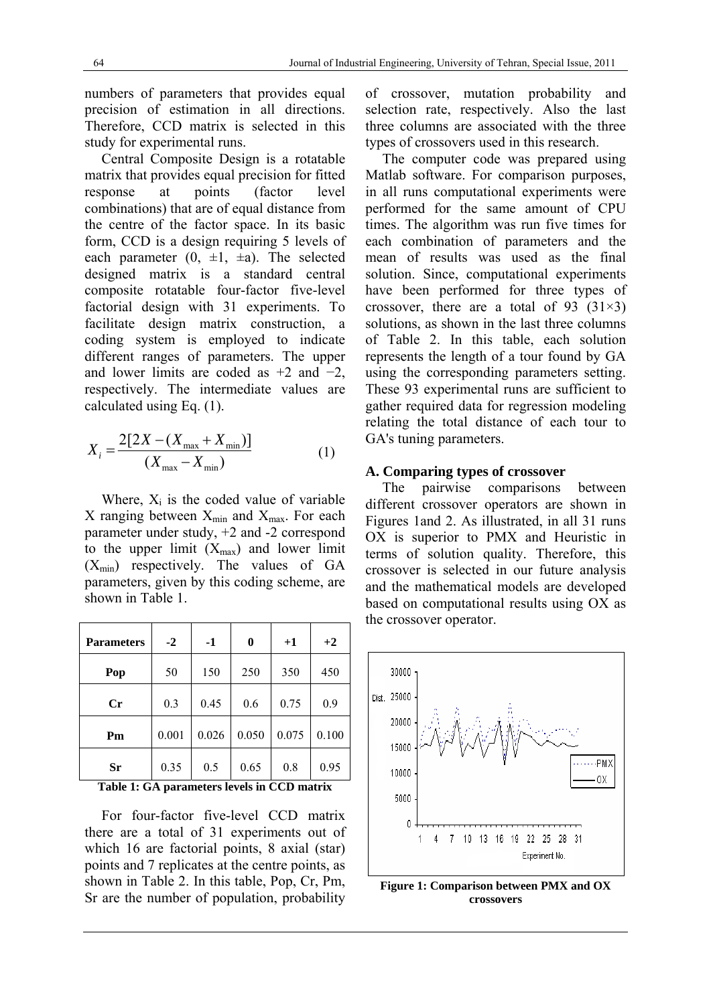numbers of parameters that provides equal precision of estimation in all directions. Therefore, CCD matrix is selected in this study for experimental runs.

Central Composite Design is a rotatable matrix that provides equal precision for fitted response at points (factor level combinations) that are of equal distance from the centre of the factor space. In its basic form, CCD is a design requiring 5 levels of each parameter  $(0, \pm 1, \pm a)$ . The selected designed matrix is a standard central composite rotatable four-factor five-level factorial design with 31 experiments. To facilitate design matrix construction, a coding system is employed to indicate different ranges of parameters. The upper and lower limits are coded as  $+2$  and  $-2$ , respectively. The intermediate values are calculated using Eq. (1).

$$
X_i = \frac{2[2X - (X_{\text{max}} + X_{\text{min}})]}{(X_{\text{max}} - X_{\text{min}})}
$$
(1)

Where,  $X_i$  is the coded value of variable X ranging between  $X_{min}$  and  $X_{max}$ . For each parameter under study, +2 and -2 correspond to the upper limit  $(X_{max})$  and lower limit  $(X_{min})$  respectively. The values of GA parameters, given by this coding scheme, are shown in Table 1.

| <b>Parameters</b> | $-2$  | $-1$  | $\bf{0}$ | $+1$  | $+2$  |
|-------------------|-------|-------|----------|-------|-------|
| Pop               | 50    | 150   | 250      | 350   | 450   |
| Cr                | 0.3   | 0.45  | 0.6      | 0.75  | 0.9   |
| Pm                | 0.001 | 0.026 | 0.050    | 0.075 | 0.100 |
| Sr                | 0.35  | 0.5   | 0.65     | 0.8   | 0.95  |

**Table 1: GA parameters levels in CCD matrix** 

For four-factor five-level CCD matrix there are a total of 31 experiments out of which 16 are factorial points, 8 axial (star) points and 7 replicates at the centre points, as shown in Table 2. In this table, Pop, Cr, Pm, Sr are the number of population, probability of crossover, mutation probability and selection rate, respectively. Also the last three columns are associated with the three types of crossovers used in this research.

The computer code was prepared using Matlab software. For comparison purposes, in all runs computational experiments were performed for the same amount of CPU times. The algorithm was run five times for each combination of parameters and the mean of results was used as the final solution. Since, computational experiments have been performed for three types of crossover, there are a total of 93  $(31\times3)$ solutions, as shown in the last three columns of Table 2. In this table, each solution represents the length of a tour found by GA using the corresponding parameters setting. These 93 experimental runs are sufficient to gather required data for regression modeling relating the total distance of each tour to GA's tuning parameters.

#### **A. Comparing types of crossover**

The pairwise comparisons between different crossover operators are shown in Figures 1and 2. As illustrated, in all 31 runs OX is superior to PMX and Heuristic in terms of solution quality. Therefore, this crossover is selected in our future analysis and the mathematical models are developed based on computational results using OX as the crossover operator.



**Figure 1: Comparison between PMX and OX crossovers**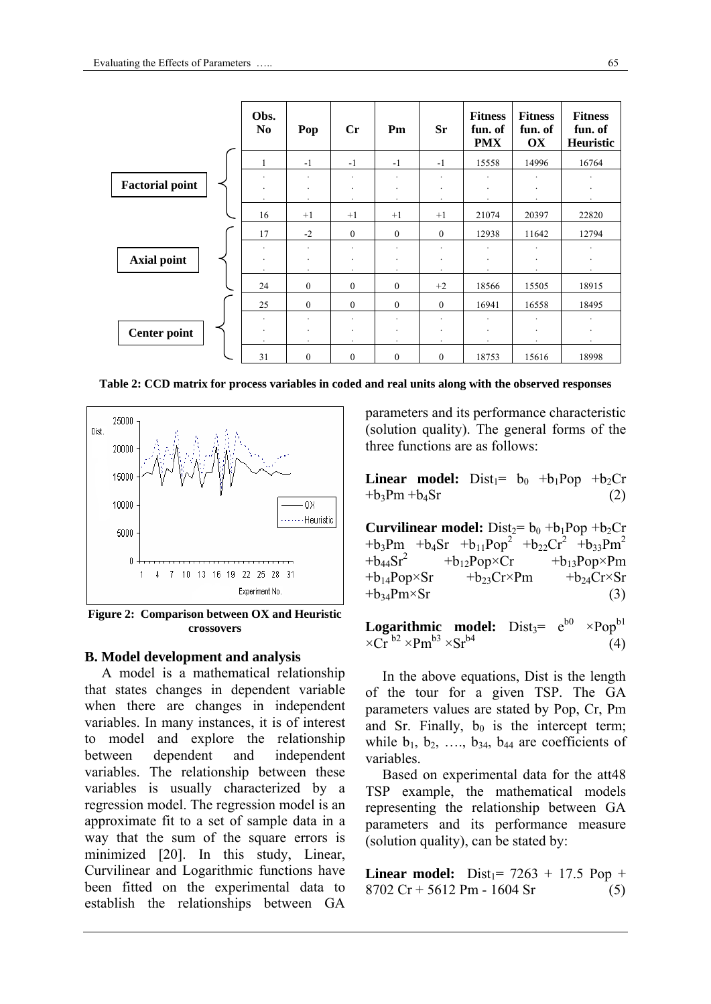|                        | Obs.<br>N <sub>0</sub> | Pop                  | $\mathbf{C}$ r                                                  | Pm           | <b>Sr</b>            | <b>Fitness</b><br>fun. of<br><b>PMX</b>    | <b>Fitness</b><br>fun. of<br><b>OX</b> | <b>Fitness</b><br>fun. of<br>Heuristic |
|------------------------|------------------------|----------------------|-----------------------------------------------------------------|--------------|----------------------|--------------------------------------------|----------------------------------------|----------------------------------------|
|                        | 1                      | $-1$                 | $-1$                                                            | $-1$         | $-1$                 | 15558                                      | 14996                                  | 16764                                  |
| <b>Factorial point</b> | ٠                      |                      | $\overline{\phantom{a}}$<br>$\overline{\phantom{a}}$<br>$\cdot$ |              | $\ddot{\phantom{a}}$ | $\overline{\phantom{a}}$                   |                                        |                                        |
|                        | 16                     | $+1$                 | $+1$                                                            | $+1$         | $+1$                 | 21074                                      | 20397                                  | 22820                                  |
|                        | 17                     | $-2$                 | $\mathbf{0}$                                                    | $\mathbf{0}$ | $\mathbf{0}$         | 12938                                      | 11642                                  | 12794                                  |
| <b>Axial point</b>     | ٠                      | $\ddot{\phantom{a}}$ | $\ddot{\phantom{a}}$                                            |              |                      | $\ddot{\phantom{0}}$<br>٠                  |                                        |                                        |
|                        | 24                     | $\theta$             | $\theta$                                                        | $\theta$     | $+2$                 | 18566                                      | 15505                                  | 18915                                  |
|                        | 25                     | $\overline{0}$       | $\mathbf{0}$                                                    | $\mathbf{0}$ | $\mathbf{0}$         | 16941                                      | 16558                                  | 18495                                  |
| <b>Center point</b>    | $\cdot$                | $\bullet$            | $\cdot$<br>$\cdot$                                              | $\cdot$      | $\cdot$              | $\overline{\phantom{a}}$<br>٠<br>$\bullet$ |                                        | $\ddot{\phantom{0}}$                   |
|                        | 31                     | $\theta$             | $\mathbf{0}$                                                    | $\mathbf{0}$ | $\mathbf{0}$         | 18753                                      | 15616                                  | 18998                                  |

**Table 2: CCD matrix for process variables in coded and real units along with the observed responses** 



**Figure 2: Comparison between OX and Heuristic crossovers** 

#### **B. Model development and analysis**

A model is a mathematical relationship that states changes in dependent variable when there are changes in independent variables. In many instances, it is of interest to model and explore the relationship between dependent and independent variables. The relationship between these variables is usually characterized by a regression model. The regression model is an approximate fit to a set of sample data in a way that the sum of the square errors is minimized [20]. In this study, Linear, Curvilinear and Logarithmic functions have been fitted on the experimental data to establish the relationships between GA

parameters and its performance characteristic (solution quality). The general forms of the three functions are as follows:

**Linear model:**  $Dist_1 = b_0 + b_1Pop + b_2Cr$  $+b_3Pm +b_4Sr$  (2)

**Curvilinear model:**  $Dist_2 = b_0 + b_1 Pop + b_2 Cr$ +b<sub>3</sub>Pm +b<sub>4</sub>Sr +b<sub>11</sub>Pop<sup>2</sup> +b<sub>22</sub>Cr<sup>2</sup> +b<sub>33</sub>Pm<sup>2</sup><br>+b<sub>44</sub>Sr<sup>2</sup> +b<sub>12</sub>Pop×Cr +b<sub>13</sub>Pop×Pm  $+b_{12}Pop \times Cr$   $+b_{13}Pop \times Pm$  $+b_{14}Pop \times Sr$   $+b_{23}Cr \times Pm$   $+b_{24}Cr \times Sr$  $+b_{34}Pm \times Sr$  (3)

**Logarithmic model:**  $Dist_3 = e^{b0} \times Pop^{b1}$  $\times$ Cr<sup>b2</sup>  $\times$ Pm<sup>b3</sup>  $\times$ Sr<sup>b4</sup> (4)

In the above equations, Dist is the length of the tour for a given TSP. The GA parameters values are stated by Pop, Cr, Pm and Sr. Finally,  $b_0$  is the intercept term; while  $b_1$ ,  $b_2$ , ...,  $b_{34}$ ,  $b_{44}$  are coefficients of variables.

Based on experimental data for the att48 TSP example, the mathematical models representing the relationship between GA parameters and its performance measure (solution quality), can be stated by:

**Linear model:** Dist<sub>1</sub> =  $7263 + 17.5$  Pop +  $8702 \text{ Cr} + 5612 \text{ Pm} - 1604 \text{ Sr}$  (5)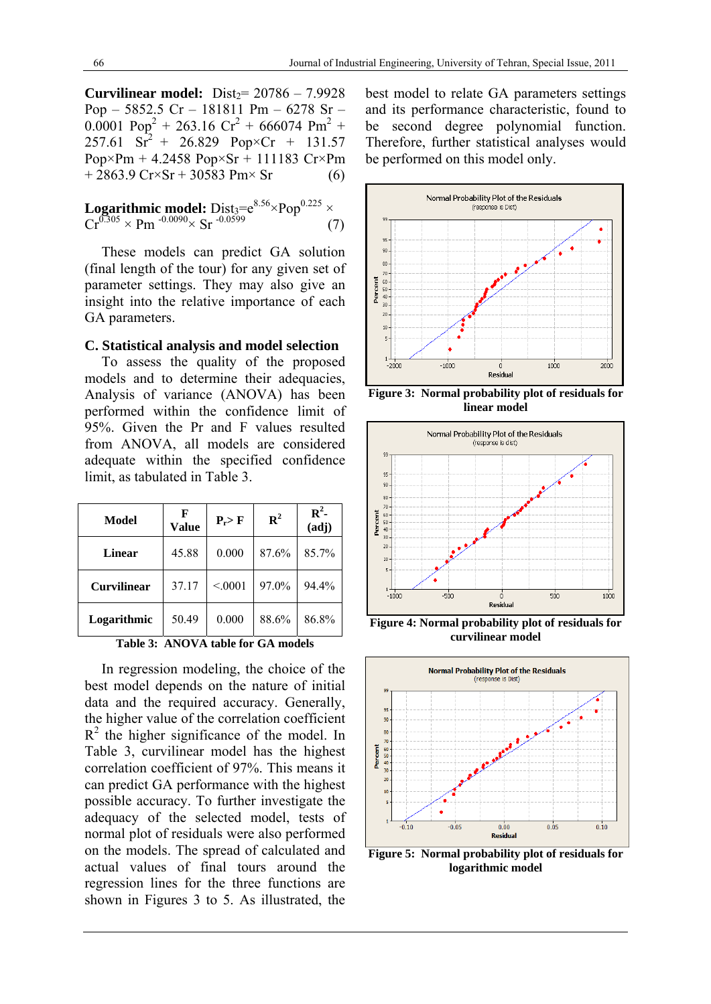**Curvilinear model:** Dist $20786 - 7.9928$ Pop – 5852.5 Cr – 181811 Pm – 6278 Sr –  $0.0001$  Pop<sup>2</sup> + 263.16 Cr<sup>2</sup> + 666074 Pm<sup>2</sup> +  $257.61 \text{ Sr}^2 + 26.829 \text{ Pop} \times \text{Cr} + 131.57$ Pop×Pm + 4.2458 Pop×Sr + 111183 Cr×Pm  $+ 2863.9 \text{ Cr} \times \text{Sr} + 30583 \text{ Pm} \times \text{Sr}$  (6)

**Logarithmic model:** 
$$
Dist_3 = e^{8.56} \times Pop^{0.225} \times Cr^{0.305} \times Pm^{-0.0090} \times Sr^{-0.0599}
$$
 (7)

These models can predict GA solution (final length of the tour) for any given set of parameter settings. They may also give an insight into the relative importance of each GA parameters.

#### **C. Statistical analysis and model selection**

To assess the quality of the proposed models and to determine their adequacies, Analysis of variance (ANOVA) has been performed within the confidence limit of 95%. Given the Pr and F values resulted from ANOVA, all models are considered adequate within the specified confidence limit, as tabulated in Table 3.

| Model              | F<br><b>Value</b> | $P_r > F$ | ${\bf R}^2$ | $\mathbb{R}^2$ -<br>(adj) |
|--------------------|-------------------|-----------|-------------|---------------------------|
| Linear             | 45.88             | 0.000     | 87.6%       | 85.7%                     |
| <b>Curvilinear</b> | 37.17             | < 0001    | 97.0%       | 94.4%                     |
| Logarithmic        | 50.49             | 0.000     | 88.6%       | 86.8%                     |

**Table 3: ANOVA table for GA models** 

In regression modeling, the choice of the best model depends on the nature of initial data and the required accuracy. Generally, the higher value of the correlation coefficient  $R<sup>2</sup>$  the higher significance of the model. In Table 3, curvilinear model has the highest correlation coefficient of 97%. This means it can predict GA performance with the highest possible accuracy. To further investigate the adequacy of the selected model, tests of normal plot of residuals were also performed on the models. The spread of calculated and actual values of final tours around the regression lines for the three functions are shown in Figures 3 to 5. As illustrated, the

best model to relate GA parameters settings and its performance characteristic, found to be second degree polynomial function. Therefore, further statistical analyses would be performed on this model only.



**Figure 3: Normal probability plot of residuals for linear model** 



**Figure 4: Normal probability plot of residuals for curvilinear model** 



**Figure 5: Normal probability plot of residuals for logarithmic model**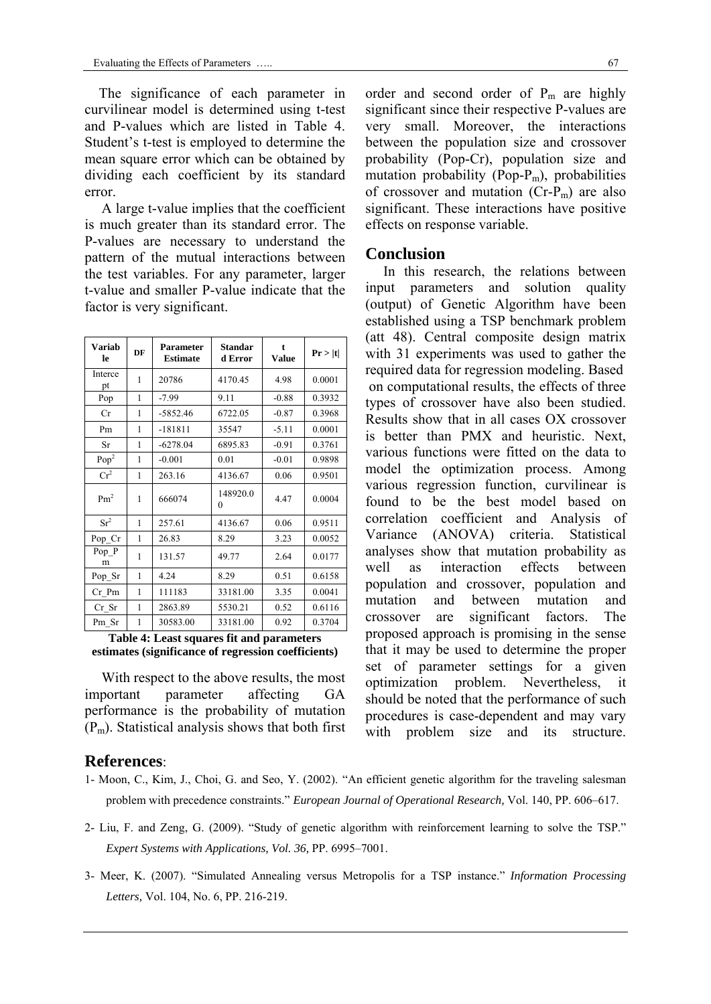The significance of each parameter in curvilinear model is determined using t-test and P-values which are listed in Table 4. Student's t-test is employed to determine the mean square error which can be obtained by dividing each coefficient by its standard error.

A large t-value implies that the coefficient is much greater than its standard error. The P-values are necessary to understand the pattern of the mutual interactions between the test variables. For any parameter, larger t-value and smaller P-value indicate that the factor is very significant.

| <b>Variab</b><br>le | DF | <b>Parameter</b><br><b>Estimate</b> | <b>Standar</b><br>d Error | t<br><b>Value</b> | Pr >  t |
|---------------------|----|-------------------------------------|---------------------------|-------------------|---------|
| Interce<br>pt       | 1  | 20786                               | 4170.45                   | 4.98              | 0.0001  |
| Pop                 | 1  | $-7.99$                             | 9.11                      | $-0.88$           | 0.3932  |
| Cr                  | 1  | $-5852.46$                          | 6722.05                   | $-0.87$           | 0.3968  |
| Pm                  | 1  | $-181811$                           | 35547                     | $-5.11$           | 0.0001  |
| Sr                  | 1  | $-6278.04$                          | 6895.83                   | $-0.91$           | 0.3761  |
| Pop <sup>2</sup>    | 1  | $-0.001$                            | 0.01                      | $-0.01$           | 0.9898  |
| Cr <sup>2</sup>     | 1  | 263.16                              | 4136.67                   | 0.06              | 0.9501  |
| Pm <sup>2</sup>     | 1  | 666074                              | 148920.0<br>0             | 4.47              | 0.0004  |
| $Sr^2$              | 1  | 257.61                              | 4136.67                   | 0.06              | 0.9511  |
| Pop_Cr              | 1  | 26.83                               | 8.29                      | 3.23              | 0.0052  |
| Pop P<br>m          | 1  | 131.57                              | 49.77                     | 2.64              | 0.0177  |
| Pop_Sr              | 1  | 4.24                                | 8.29                      | 0.51              | 0.6158  |
| Cr Pm               | 1  | 111183                              | 33181.00                  | 3.35              | 0.0041  |
| Cr Sr               | 1  | 2863.89                             | 5530.21                   | 0.52              | 0.6116  |
| Pm Sr               | 1  | 30583.00                            | 33181.00                  | 0.92              | 0.3704  |

**Table 4: Least squares fit and parameters estimates (significance of regression coefficients)** 

With respect to the above results, the most important parameter affecting GA performance is the probability of mutation  $(P_m)$ . Statistical analysis shows that both first

#### order and second order of  $P_m$  are highly significant since their respective P-values are very small. Moreover, the interactions between the population size and crossover probability (Pop-Cr), population size and mutation probability (Pop- $P_m$ ), probabilities of crossover and mutation  $(Cr-P_m)$  are also significant. These interactions have positive effects on response variable.

#### **Conclusion**

 In this research, the relations between input parameters and solution quality (output) of Genetic Algorithm have been established using a TSP benchmark problem (att 48). Central composite design matrix with 31 experiments was used to gather the required data for regression modeling. Based on computational results, the effects of three types of crossover have also been studied. Results show that in all cases OX crossover is better than PMX and heuristic. Next, various functions were fitted on the data to model the optimization process. Among various regression function, curvilinear is found to be the best model based on correlation coefficient and Analysis of Variance (ANOVA) criteria. Statistical analyses show that mutation probability as well as interaction effects between population and crossover, population and mutation and between mutation and crossover are significant factors. The proposed approach is promising in the sense that it may be used to determine the proper set of parameter settings for a given optimization problem. Nevertheless, it should be noted that the performance of such procedures is case-dependent and may vary with problem size and its structure.

#### **References**:

- 1- Moon, C., Kim, J., Choi, G. and Seo, Y. (2002). "An efficient genetic algorithm for the traveling salesman problem with precedence constraints." *European Journal of Operational Research,* Vol. 140, PP. 606–617.
- 2- Liu, F. and Zeng, G. (2009). "Study of genetic algorithm with reinforcement learning to solve the TSP." *Expert Systems with Applications, Vol. 36,* PP. 6995–7001.
- 3- Meer, K. (2007). "Simulated Annealing versus Metropolis for a TSP instance." *Information Processing Letters,* Vol. 104, No. 6, PP. 216-219.